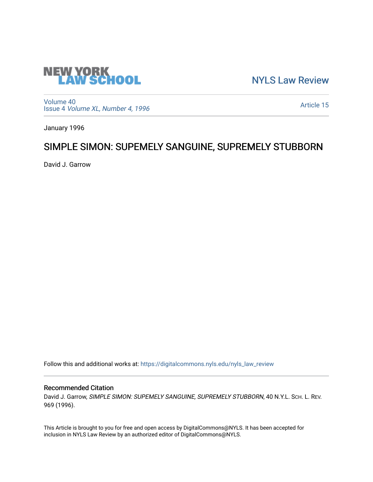

[NYLS Law Review](https://digitalcommons.nyls.edu/nyls_law_review) 

[Volume 40](https://digitalcommons.nyls.edu/nyls_law_review/vol40) Issue 4 [Volume XL, Number 4, 1996](https://digitalcommons.nyls.edu/nyls_law_review/vol40/iss4)

[Article 15](https://digitalcommons.nyls.edu/nyls_law_review/vol40/iss4/15) 

January 1996

# SIMPLE SIMON: SUPEMELY SANGUINE, SUPREMELY STUBBORN

David J. Garrow

Follow this and additional works at: [https://digitalcommons.nyls.edu/nyls\\_law\\_review](https://digitalcommons.nyls.edu/nyls_law_review?utm_source=digitalcommons.nyls.edu%2Fnyls_law_review%2Fvol40%2Fiss4%2F15&utm_medium=PDF&utm_campaign=PDFCoverPages) 

# Recommended Citation

David J. Garrow, SIMPLE SIMON: SUPEMELY SANGUINE, SUPREMELY STUBBORN, 40 N.Y.L. SCH. L. REV. 969 (1996).

This Article is brought to you for free and open access by DigitalCommons@NYLS. It has been accepted for inclusion in NYLS Law Review by an authorized editor of DigitalCommons@NYLS.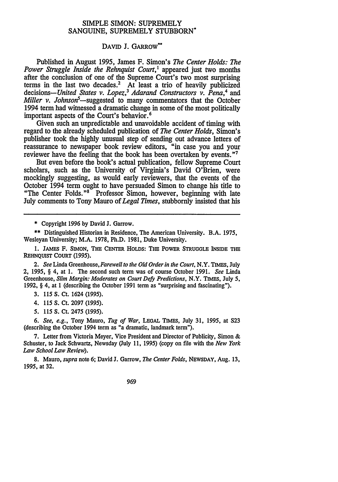# SIMPLE SIMON: SUPREMELY **SANGUINE,** SUPREMELY STUBBORN-

## DAVID **J. GARROW**\*\*

Published in August **1995,** James F. Simon's *The Center Holds: The Power Struggle Inside the Rehnquist Court,'* appeared just two months after the conclusion of one of the Supreme Court's two most surprising terms in the last two decades.<sup>2</sup> At least a trio of heavily publicized decisions-United *States v. Lopez,3 Adarand Constructors v. Pena,4* and *Miller v. Johnson*<sup>5</sup>—suggested to many commentators that the October 1994 term had witnessed a dramatic change in some of the most politically important aspects of the Court's behavior.<sup>6</sup>

Given such an unpredictable and unavoidable accident of timing with regard to the already scheduled publication of *The Center Holds,* Simon's publisher took the **highly** unusual step of sending out advance letters of reassurance to newspaper book review editors, "in case you and your reviewer have the feeling that the book has been overtaken **by** events. "I

But even before the book's actual publication, fellow Supreme Court scholars, such as the University of Virginia's David O'Brien, were mockingly suggesting, as would early reviewers, that the events of the October 1994 term ought to have persuaded Simon to change his title to "The Center Folds."<sup>8"</sup> Professor Simon, however, beginning with late July comments to Tony Mauro of *Legal Times,* stubbornly insisted that his

**\*** Copyright 1996 **by** David **J.** Garrow.

**\*\*** Distinguished Historian in Residence, The American University. **B.A. 1975,** Wesleyan University; M.A. **1978,** Ph.D. **1981,** Duke University.

**1. JAMES F. SIMON, THE CENTER HOLDS: THE POWER STRUGGLE INSIDE THE REHNQUIST COURT (1995).**

2. *See* Linda Greenhouse, *Farewell to the Old Order in the Court,* N.Y. **TIMES, July** 2, **1995,** § 4, at **1.** The second such term was of course October **1991.** *See* Linda Greenhouse, *Slim Margin: Moderates on Court Defy Predictions,* N.Y. **TIMES, July 5, 1992,** § 4, at **1** (describing the October **1991** term as "surprising and fascinating").

**3. 115 S.** Ct. 1624 **(1995).**

4. **115 S.** Ct. **2097 (1995).**

*5.* **115 S.** Ct. 2475 **(1995).**

*6. See, e.g.,* Tony Mauro, *Tug of War,* **LEGAL** TIMES, July **31, 1995,** at **S23** (describing the October 1994 term as "a dramatic, landmark term").

**7.** Letter from Victoria Meyer, Vice President and Director of Publicity, Simon **&** Schuster, to Jack Schwartz, Newsday **(July 11, 1995)** (copy on file with the *New York Law School Law Review).*

**8.** Mauro, *supra* note **6;** David **J.** Garrow, *The Center Folds,* **NEWSDAY,** Aug. **13, 1995,** at **32.**

969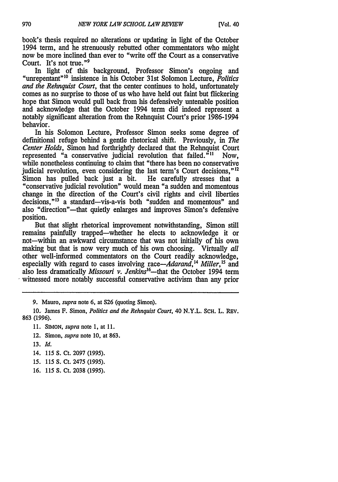book's thesis required no alterations or updating in light of the October 1994 term, and he strenuously rebutted other commentators who might now be more inclined than ever to "write off the Court as a conservative Court. It's not true."<sup>9</sup><br>In light of this background, Professor Simon's ongoing and

"unrepentant<sup>"10</sup> insistence in his October 31st Solomon Lecture, *Politics and the Rehnquist Court,* that the center continues to hold, unfortunately comes as no surprise to those of us who have held out faint but flickering hope that Simon would pull back from his defensively untenable position and acknowledge that the October 1994 term did indeed represent a notably significant alteration from the Rehnquist Court's prior 1986-1994 behavior.

In his Solomon Lecture, Professor Simon seeks some degree of definitional refuge behind a gentle rhetorical shift. Previously, in *The Center Holds,* Simon had forthrightly declared that the Rehnquist Court represented "a conservative judicial revolution that failed. $\frac{n_{11}}{n_{11}}$  Now, while nonetheless continuing to claim that "there has been no conservative judicial revolution, even considering the last term's Court decisions."<sup>12</sup> Simon has pulled back just a bit. He carefully stresses that a "conservative judicial revolution" would mean "a sudden and momentous change in the direction of the Court's civil rights and civil liberties decisions,"<sup>13</sup> a standard-vis-a-vis both "sudden and momentous" and also "direction"—that quietly enlarges and improves Simon's defensive position.

But that slight rhetorical improvement notwithstanding, Simon still remains painfully trapped-whether he elects to acknowledge it or not-within an awkward circumstance that was not initially of his own making but that is now very much of his own choosing. Virtually *all* other well-informed commentators on the Court readily acknowledge, especially with regard to cases involving race—Adarand,<sup>14</sup> Miller,<sup>15</sup> and also less dramatically *Missouri v. Jenkins'6 -that* the October 1994 term witnessed more notably successful conservative activism than any prior

9. Mauro, *supra* note 6, at **S26** (quoting Simon).

**10.** James F. Simon, *Politics and the Rehnquist Court,* 40 N.Y.L. ScH. L. REV. 863 (1996).

- 11. SIMON, *supra* note 1, at 11.
- 12. Simon, *supra* note 10, at 863.
- 13. *Id.*
- 14. 115 S. Ct. 2097 (1995).
- *15.* 115 S. Ct. 2475 (1995).
- 16. 115 S. Ct. 2038 (1995).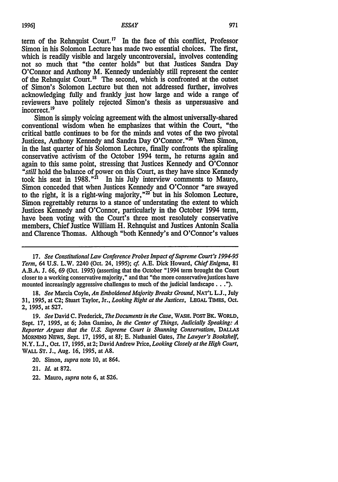term of the Rehnquist Court.'7 In the face of this conflict, Professor Simon in his Solomon Lecture has made two essential choices. The first, which is readily visible and largely uncontroversial, involves contending not so much that "the center holds" but that Justices Sandra Day O'Connor and Anthony M. Kennedy undeniably still represent the center of the Rehnquist Court.'8 The second, which is confronted at the outset of Simon's Solomon Lecture but then not addressed further, involves acknowledging fully and frankly just how large and wide a range of reviewers have politely rejected Simon's thesis as unpersuasive and incorrect. **' 9**

Simon is simply voicing agreement with the almost universally-shared conventional wisdom when he emphasizes that within the Court, "the critical battle continues to be for the minds and votes of the two pivotal Justices, Anthony Kennedy and Sandra Day O'Connor."<sup>20</sup> When Simon, in the last quarter of his Solomon Lecture, finally confronts the spiraling conservative activism of the October 1994 term, he returns again and again to this same point, stressing that Justices Kennedy and O'Connor *"still* hold the balance of power on this Court, as they have since Kennedy took his seat in 1988. $n^2$  In his July interview comments to Mauro, Simon conceded that when Justices Kennedy and O'Connor "are swayed to the right, it is a right-wing majority, $"^{22}$  but in his Solomon Lecture, Simon regrettably returns to a stance of understating the extent to which Justices Kennedy and O'Connor, particularly in the October 1994 term, have been voting with the Court's three most resolutely conservative members, Chief Justice William H. Rehnquist and Justices Antonin Scalia and Clarence Thomas. Although "both Kennedy's and O'Connor's values

*17. See Constitutional Law Conference Probes Impact of Supreme Court's 1994-95 Term,* 64 U.S. L.W. 2240 (Oct. 24, 1995); *cf.* A.E. Dick Howard, *Chief Enigma,* **81** A.B.A. J. 66, 69 (Oct. 1995) (asserting that the October "1994 term brought the Court closer to a working conservative majority," and that "the more conservativejustices have mounted increasingly aggressive challenges to much of the judicial landscape...").

18. *See* Marcia Coyle, *An Emboldened Majority Breaks Ground,* **NAT'L** L.J., July **31,** 1995, at **C2;** Stuart Taylor, Jr., *Looking Right at the Justices,* **LEGAL TIMEs,** Oct. 2, 1995, at 527.

19. *See* David **C.** Frederick, *The Documents in the Case,* WASH. POST BK. WORLD, Sept. 17, 1995, at 6; John Gamino, *In the Center of Things, Judicially Speaking: A Reporter Argues that the U.S. Supreme Court is Shunning Conservatism, DALLAS* **MORNING** NEws, Sept. 17, 1995, at 8J; **E.** Nathaniel Gates, *The Lawyer's Bookshelf,* N.Y. L.J., Oct. 17, 1995, at 2; David Andrew Price, *Looking Closely at the High Court,* **WALL ST. J.,** Aug. 16, 1995, at A8.

22. Mauro, *supra* note 6, at S26.

<sup>20.</sup> Simon, *supra* note **10,** at 864.

<sup>21.</sup> *Id.* at 872.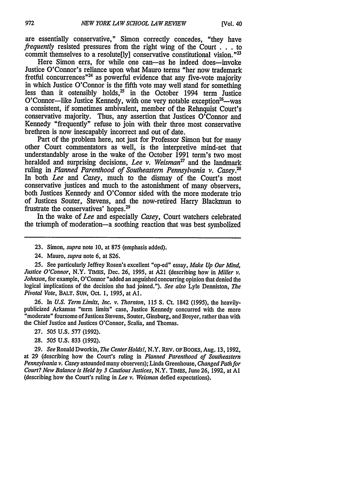are essentially conservative," Simon correctly concedes, "they have *frequently* resisted pressures from the right wing of the Court **. ..**to commit themselves to a resolute  $[ly]$  conservative constitutional vision.<sup>"23</sup>

Here Simon errs, for while one can—as he indeed does—invoke Justice O'Connor's reliance upon what Mauro terms "her now trademark fretful concurrences<sup>"24</sup> as powerful evidence that any five-vote majority in which Justice O'Connor is the fifth vote may well stand for something less than it ostensibly holds, $25$  in the October 1994 term Justice  $O'Connect$ -like Justice Kennedy, with one very notable exception<sup>26</sup>-was a consistent, if sometimes ambivalent, member of the Rehnquist Court's conservative majority. Thus, any assertion that Justices O'Connor and Kennedy "frequently" refuse to join with their three most conservative brethren is now inescapably incorrect and out of date.

Part of the problem here, not just for Professor Simon but for many other Court commentators as well, is the interpretive mind-set that understandably arose in the wake of the October 1991 term's two most heralded and surprising decisions, *Lee v. Weisman'7* and the landmark ruling in *Planned Parenthood of Southeastern Pennsylvania v. Casey.'* In both *Lee and Casey,* much to the dismay of the Court's most conservative justices and much to the astonishment of many observers, both Justices Kennedy and O'Connor sided with the more moderate trio of Justices Souter, Stevens, and the now-retired Harry Blackmun to frustrate the conservatives' hopes.29

In the wake of *Lee* and especially *Casey,* Court watchers celebrated the triumph of moderation-a soothing reaction that was best symbolized

- 23. Simon, *supra* note 10, at 875 (emphasis added).
- 24. Mauro, *supra* note 6, at S26.

25. See particularly Jeffrey Rosen's excellent "op-ed" essay, *Make Up Our Mind, Justice O'Connor,* N.Y. TIMES, Dec. 26, 1995, at A21 (describing how in *Miller v. Johnson,* for example, O'Connor "added an anguished concurring opinion that denied the logical implications of the decision she had joined."). *See also* Lyle Denniston, *The Pivotal Vote,* BALT. SuN, Oct. 1, 1995, at **Al.**

26. In *U.S. Term Limits, Inc. v. Thornton,* 115 **S.** Ct. 1842 (1995), the heavily publicized Arkansas "term limits" case, Justice Kennedy concurred with the more "moderate" foursome of Justices Stevens, Souter, Ginsburg, and Breyer, rather than with the Chief Justice and Justices O'Connor, Scalia, and Thomas.

- 27. 505 U.S. 577 (1992).
- 28. 505 U.S. 833 (1992).

29. *See* Ronald Dworkin, *The Center Holds!*, N.Y. REV. OF BOOKS, Aug. 13, 1992, at 29 (describing how the Court's ruling in *Planned Parenthood of Southeastern Pennsylvania v. Casey* astounded many observers); Linda Greenhouse, *Changed Path for Court? New Balance is Held by 3 Cautious Justices,* N.Y. TIMES, June 26, 1992, at **Al** (describing how the Court's ruling in *Lee v. Weisman* defied expectations).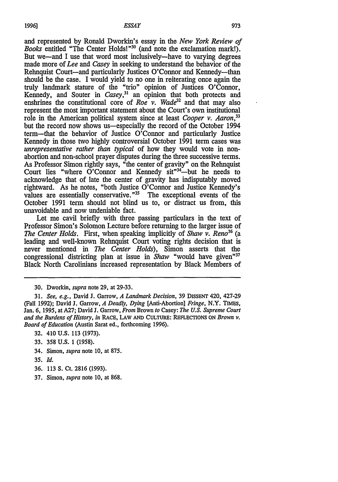and represented by Ronald Dworkin's essay in the *New York Review of Books* entitled "The Center Holds!"<sup>30</sup> (and note the exclamation mark!). But we-and I use that word most inclusively-have to varying degrees made more of *Lee and Casey* in seeking to understand the behavior of the Rehnquist Court-and particularly Justices O'Connor and Kennedy-than should be the case. I would yield to no one in reiterating once again the truly landmark stature of the "trio" opinion of Justices O'Connor, Kennedy, and Souter in *Casey*,<sup>31</sup> an opinion that both protects and enshrines the constitutional core of *Roe v. Wade32* and that may also represent the most important statement about the Court's own institutional role in the American political system since at least *Cooper v. Aaron,33* but the record now shows us-especially the record of the October 1994 term-that the behavior of Justice O'Connor and particularly Justice Kennedy in those two highly controversial October 1991 term cases was *unrepresentative rather than typical* of how they would vote in nonabortion and non-school prayer disputes during the three successive terms. As Professor Simon rightly says, "the center of gravity" on the Rehnquist Court lies "where  $\ddot{O}$ "Connor and Kennedy sit"<sup>34</sup>—but he needs to acknowledge that of late the center of gravity has indisputably moved rightward. As he notes, "both Justice O'Connor and Justice Kennedy's values are essentially conservative."<sup>35</sup> The exceptional events of the October 1991 term should not blind us to, or distract us from, this unavoidable and now undeniable fact.

Let me cavil briefly with three passing particulars in the text of Professor Simon's Solomon Lecture before returning to the larger issue of *The Center Holds.* First, when speaking implicitly of *Shaw v. Reno36* (a leading and well-known Rehnquist Court voting rights decision that is never mentioned in *The Center Holds),* Simon asserts that the congressional districting plan at issue in *Shaw* "would have given"<sup>37</sup> Black North Carolinians increased representation by Black Members of

30. Dworkin, *supra* note 29, at 29-33.

31. *See, e.g.,* David J. Garrow, *A Landmark Decision,* 39 DISSENT 420, 427-29 (Fall 1992); David J. Garrow, *A Deadly, Dying* [Anti-Abortion] *Fringe,* N.Y. TIMEs, Jan. 6, 1995, at A27; David J. Garrow, *From* Brown *to* Casey: *The U.S. Supreme Court and the Burdens of History, in* RACE, LAW AND CULTURE: REFLECTIONS ON *Brown v. Board of Education* (Austin Sarat ed., forthcoming 1996).

- 33. 358 U.S. 1 (1958).
- 34. Simon, *supra* note 10, at 875.
- 35. Id.
- 36. 113 S. Ct. 2816 (1993).
- 37. Simon, *supra* note 10, at 868.

<sup>32. 410</sup> U.S. 113 (1973).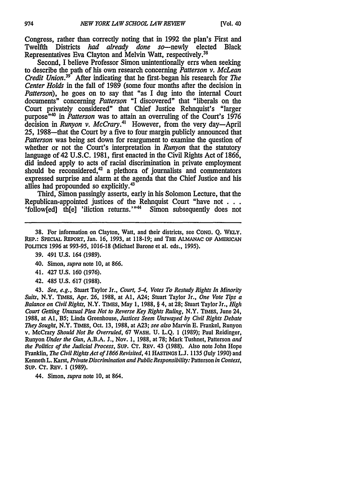Congress, rather than correctly noting that in **1992** the plan's First and Twelfth Districts *had already done so*—newly elected Black Representatives Eva Clayton and Melvin Watt, respectively.<sup>38</sup>

Second, I believe Professor Simon unintentionally errs when seeking to describe the path of his own research concerning *Patterson v. McLean Credit Union.<sup>39</sup>* After indicating that he first-began his research for *The Center Holds* in the fall of **1989** (some four months after the decision in *Patterson),* he goes on to say that "as I dug into the internal Court documents" concerning *Patterson* "I discovered" that "liberals on the Court privately considered" that Chief Justice Rehnquist's "larger purpose<sup>"40</sup> in *Patterson* was to attain an overruling of the Court's 1976 decision in *Runyon v. McCrary*.<sup>41</sup> However, from the very day-April **25,** 1988-that the Court by a five to four margin publicly announced that *Patterson* was being set down for reargument to examine the question of whether or not the Court's interpretation in *Runyon* that the statutory language of 42 U.S.C. 1981, first enacted in the Civil Rights Act of 1866, did indeed apply to acts of racial discrimination in private employment should be reconsidered,<sup>42</sup> a plethora of journalists and commentators expressed surprise and alarm at the agenda that the Chief Justice and his allies had propounded so explicitly.<sup>43</sup>

Third, Simon passingly asserts, early in his Solomon Lecture, that the Republican-appointed justices of the Rehnquist Court "have not . . . . 'followedl the l'iliction returns.'<sup>n44</sup> Simon subsequently does not 'follow $[ed]$  then 'iliction returns.'"<sup>44</sup>

**38.** For information on Clayton, Watt, and their districts, see **CONG. Q.** WKLY. REP.: SPECIAL **REPORT,** Jan. **16, 1993,** at **118-19;** and THE ALMANAC OF AMERICAN **POLrTICS 1996** at **993-95, 1016-18** (Michael Barone et **al.** eds., **1995).**

- 40. Simon, *supra* note **10,** at **866.**
- 41. 427 **U.S.** 160 **(1976).**
- 42. 485 **U.S. 617 (1988).**

43. *See, e.g.,* Stuart Taylor Jr., *Court, 5-4, Votes To Restudy Rights In Minority Suits,* N.Y. TIMES, Apr. **26, 1988,** at **Al,** A24; Stuart Taylor Jr., *One Vote* **Tips** *a Balance on Civil Rights,* N.Y. **TIMES,** May **1, 1988,** § 4, at **28;** Stuart Taylor Jr., *High Court Getting Unusual Plea Not to Reverse Key Rights Ruling,* N.Y. TIMES, June 24, **1988,** at **Al,** B5; Linda Greenhouse, *Justices Seem Unswayed by Civil Rights Debate They Sought,* N.Y. TIMES, Oct. **13, 1988,** at **A23;** *see also* Marvin **E.** Frankel, Runyon v. McCrary *Should Not Be Overruled,* **67** WASH. **U. L.Q. 1 (1989);** Paul Reidinger, Runyon *Under the Gun,* **A.B.A. J.,** Nov. **1, 1988,** at **78;** Mark Tushnet, Patterson *and the Politics of the Judicial Process,* **SUP. CT.** REv. 43 **(1988).** Also note John Hope Franklin, *The Civil Rights Act of 1866 Revisited,* 41 **HASTINGS L.J. 1135** (July **1990)** and Kenneth L. Karst, *Private Discrimination and Public Responsibility:* Patterson *in Context,* SUP. **CT.** REv. 1 **(1989).**

44. Simon, *supra* note **10,** at 864.

**<sup>39.</sup>** 491 **U.S.** 164 **(1989).**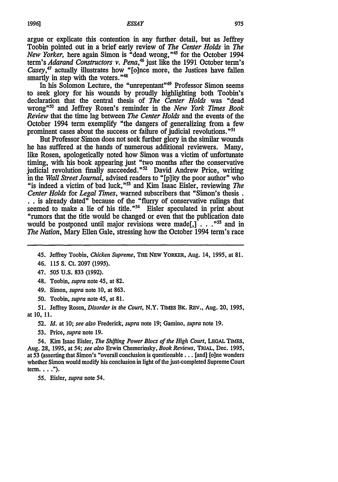argue or explicate this contention in any further detail, but as Jeffrey Toobin pointed out in a brief early review of *The Center Holds in The New Yorker,* here again Simon is "dead wrong,"45 for the October 1994 term's *Adarand Constructors v. Pena*,<sup>46</sup> just like the 1991 October term's *Casey,47* actually illustrates how "[o]nce more, the Justices have fallen smartly in step with the voters."

In his Solomon Lecture, the "unrepentant"49 Professor Simon seems to seek glory for his wounds by proudly highlighting both Toobin's declaration that the central thesis of *The Center Holds* was "dead wrong""° and Jeffrey Rosen's reminder in the *New York Times Book Review* that the time lag between *The Center Holds* and the events of the October 1994 term exemplify "the dangers of generalizing from a few prominent cases about the success or failure of judicial revolutions."<sup>51</sup>

But Professor Simon does not seek further glory in the similar wounds he has suffered at the hands of numerous additional reviewers. Many, like Rosen, apologetically noted how Simon was a victim of unfortunate timing, with his book appearing just "two months after the conservative judicial revolution finally succeeded." $2^2$  David Andrew Price, writing in the *Wall Street Journal,* advised readers to "[p]ity the poor author" who "is indeed a victim of bad luck,"<sup>53</sup> and Kim Isaac Eisler, reviewing *The Center Holds* for *Legal Times,* warned subscribers that "Simon's thesis. **.** . is already dated" because of the "flurry of conservative rulings that seemed to make a lie of his title."<sup>54</sup> Eisler speculated in print about "rumors that the title would be changed or even that the publication date would be postponed until major revisions were made<sup>[1]</sup>....<sup>"55</sup> and in *The Nation,* Mary Ellen Gale, stressing how the October 1994 term's race

45. Jeffrey Toobin, *Chicken Supreme,* **THE NEW YORKER,** Aug. 14, 1995, at **81.**

46. 115 **S.** Ct. 2097 (1995).

48. Toobin, *supra* note 45, at 82.

49. Simon, *supra* note 10, at 863.

50. Toobin, *supra* note 45, at 81.

*51.* Jeffrey Rosen, *Disorder in the Court,* N.Y. **TIMES** BK. REV., Aug. 20, 1995, at **10, 11.**

52. *Id.* at **10;** *see also* Frederick, *supra* note 19; Gamino, *supra* note 19.

53. Price, *supra* note 19.

54. Kim Isaac Eisler, *The Shifting Power Blocs of the High Court,* **LEGAL** TIMES, Aug. 28, 1995, at 54; *see also* Erwin Chemerinsky, *Book Reviews,* **TRIAL,** Dec. 1995, at 53 (asserting that Simon's "overall conclusion is questionable... [and] [o]ne wonders whether Simon would modify his conclusion in light of the just-completed Supreme Court term... . **").**

55. Eisler, *supra* note 54.

<sup>47. 505</sup> **U.S.** 833 (1992).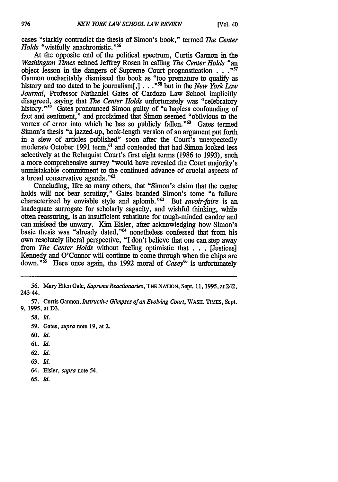cases "starkly contradict the thesis of Simon's book," termed *The Center Holds* "wistfully anachronistic."<sup>56</sup>

At the opposite end of the political spectrum, Curtis Gannon in the *Washington Times* echoed Jeffrey Rosen in calling *The Center Holds "an* object lesson in the dangers of Supreme Court prognostication . . .<sup>"57</sup> Gannon uncharitably dismissed the book as "too premature to qualify as history and too dated to be journalism[,] . . . <sup>"58</sup> but in the *New York Law Journal,* Professor Nathaniel Gates of Cardozo Law School implicitly disagreed, saying that *The Center Holds* unfortunately was "celebratory history."<sup>59</sup> Gates pronounced Simon guilty of "a hapless confounding of fact and sentiment," and proclaimed that Simon seemed "oblivious to the vortex of error into which he has so publicly fallen." $\omega$  Gates termed Simon's thesis "a jazzed-up, book-length version of an argument put forth in a slew of articles published" soon after the Court's unexpectedly moderate October 1991 term,<sup>61</sup> and contended that had Simon looked less selectively at the Rehnquist Court's first eight terms (1986 to 1993), such a more comprehensive survey "would have revealed the Court majority's unmistakable commitment to the continued advance of crucial aspects of a broad conservative agenda."<sup>62</sup>

Concluding, like so many others, that "Simon's claim that the center holds will not bear scrutiny," Gates branded Simon's tome "a failure characterized by enviable style and aplomb."<sup>63</sup> But *savoir-faire* is an inadequate surrogate for scholarly sagacity, and wishful thinking, while often reassuring, is an insufficient substitute for tough-minded candor and can mislead the unwary. Kim Eisler, after acknowledging how Simon's basic thesis was "already dated,"<sup>64</sup> nonetheless confessed that from his own resolutely liberal perspective, "I don't believe that one can step away from *The Center Holds* without feeling optimistic that . . . [Justices] Kennedy and O'Connor will continue to come through when the chips are down.<sup>"55</sup> Here once again, the 1992 moral of *Casey*<sup>66</sup> is unfortunately

- **60.** *Id.*
- **61.** *Id.*
- **62.** *Id.*
- **63.** *Id.*
- 64. Eisler, *supra* note 54.
- *65. Id.*

<sup>56.</sup> **Mary** Ellen Gale, *Supreme Reactionaries,* **THE** NATION, **Sept.** 11, 1995, at 242, 243-44.

**<sup>57.</sup>** Curtis Gannon, *Instructive Glimpses ofan Evolving Court,* **WASH. TIMES, Sept. 9, 1995, at D3.**

**<sup>58.</sup>** *Id.*

**<sup>59.</sup>** Gates, *supra* note **19,** at 2.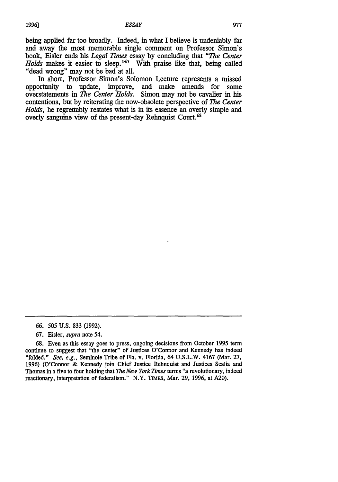being applied far too broadly. Indeed, in what I believe is undeniably far and away the most memorable single comment on Professor Simon's book, **Eisler** ends his *Legal Times* essay **by** concluding that *"The Center Holds* makes it easier to sleep.<sup>"67</sup> With praise like that, being called "dead wrong" may not be bad at all.

In short, Professor Simon's Solomon Lecture represents a missed opportunity to update, improve, and make amends for some overstatements in *The Center Holds.* Simon may not be cavalier in his contentions, but **by** reiterating the now-obsolete perspective of *The Center Holds,* he regrettably restates what is in its essence an overly simple and overly sanguine view of the present-day Rehnquist Court.<sup>68</sup>

**67.** Eisler, *supra* note 54.

**<sup>66.</sup>** *505* **U.S. 833** (1992).

**<sup>68.</sup>** Even as this essay goes to press, ongoing decisions from October **1995** term continue to suggest that "the center" of Justices O'Connor and Kennedy has indeed "folded." *See, e.g.,* Seminole Tribe of Fla. v. Florida, 64 U.S.L.W. 4167 (Mar. 27, 1996) (O'Connor & Kennedy join Chief Justice Rehnquist and Justices Scalia and Thomas in a five to four holding that *The New York Times* terms "a revolutionary, indeed reactionary, interpretation of federalism." N.Y. TIMEs, Mar. 29, 1996, at A20).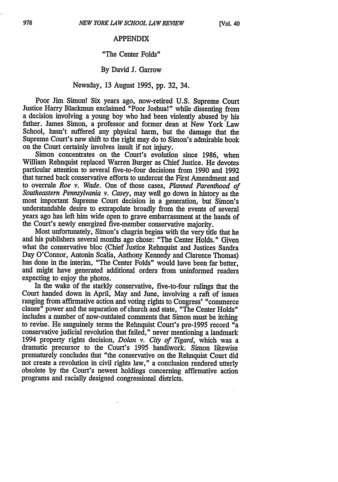#### APPENDIX

## "The Center Folds"

# By David **J.** Garrow

# Newsday, 13 August **1995,** pp. 32, 34.

Poor Jim Simon! Six years ago, now-retired U.S. Supreme Court Justice Harry Blackmun exclaimed "Poor Joshua!" while dissenting from a decision involving a young boy who had been violently abused by his father. James Simon, a professor and former dean at New York Law School, hasn't suffered any physical harm, but the damage that the Supreme Court's new shift to the right may do to Simon's admirable book on the Court certainly involves insult if not injury.

Simon concentrates on the Court's evolution since 1986, when William Rehnquist replaced Warren Burger as Chief Justice. He devotes particular attention to several five-to-four decisions from 1990 and 1992 that turned back conservative efforts to undercut the First Amendment and to overrule *Roe v. Wade.* One of those cases, *Planned Parenthood of Southeastern Pennsylvania v. Casey,* may well go down in history as the most important Supreme Court decision in a generation, but Simon's understandable desire to extrapolate broadly from the events of several years ago has left him wide open to grave embarrassment at the hands of the Court's newly energized five-member conservative majority.

Most unfortunately, Simon's chagrin begins with the very title that he and his publishers several months ago chose: "The Center Holds." Given what the conservative bloc (Chief Justice Rehnquist and Justices Sandra Day O'Connor, Antonin Scalia, Anthony Kennedy and Clarence Thomas) has done in the interim, "The Center Folds" would have been far better, and might have generated additional orders from uninformed readers expecting to enjoy the photos.

In the wake of the starkly conservative, five-to-four rulings that the Court handed down in April, May and June, involving a raft of issues ranging from affirmative action and voting rights to Congress' "commerce clause" power and the separation of church and state, "The Center Holds" includes a number of now-outdated comments that Simon must be itching to revise. He sanguinely terms the Rehnquist Court's pre-1995 record "a conservative judicial revolution that failed," never mentioning a landmark 1994 property rights decision, *Dolan v. City of Tigard,* which was a dramatic precursor to the Court's 1995 handiwork. Simon likewise prematurely concludes that "the conservative on the Rehnquist Court did not create a revolution in civil rights law," a conclusion rendered utterly obsolete by the Court's newest holdings concerning affirmative action programs and racially designed congressional districts.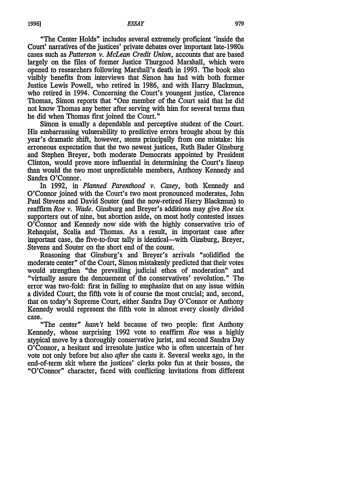"The Center Holds" includes several extremely proficient 'inside the Court' narratives of the justices' private debates over important late-1980s cases such as *Patterson v. McLean Credit Union,* accounts that are based largely on the files of former Justice Thurgood Marshall, which were opened to researchers following Marshall's death in 1993. The book also visibly benefits from interviews that Simon has had with both former Justice Lewis Powell, who retired in 1986, and with Harry Blackmun, who retired in 1994. Concerning the Court's youngest justice, Clarence Thomas, Simon reports that "One member of the Court said that he did not know Thomas any better after serving with him for several terms than he did when Thomas first joined the Court."

Simon is usually a dependable and perceptive student of the Court. His embarrassing vulnerability to predictive errors brought about by this year's dramatic shift, however, stems principally from one mistake: his erroneous expectation that the two newest justices, Ruth Bader Ginsburg and Stephen Breyer, both moderate Democrats appointed by President Clinton, would prove more influential in determining the Court's lineup than would the two most unpredictable members, Anthony Kennedy and Sandra O'Connor.

In 1992, in *Planned Parenthood v. Casey,* both Kennedy and O'Connor joined with the Court's two most pronounced moderates, John Paul Stevens and David Souter (and the now-retired Harry Blackmun) to reaffirm *Roe v. Wade.* Ginsburg and Breyer's additions may give *Roe six* supporters out of nine, but abortion aside, on most hotly contested issues O'Connor and Kennedy now side with the highly conservative trio of Rehnquist, Scalia and Thomas. As a result, in important case after important case, the five-to-four tally is identical-with Ginsburg, Breyer, Stevens and Souter on the short end of the count.

Reasoning that Ginsburg's and Breyer's arrivals "solidified the moderate center" of the Court, Simon mistakenly predicted that their votes would strengthen "the prevailing judicial ethos of moderation" and "virtually assure the denouement of the conservatives' revolution." The error was two-fold: first in failing to emphasize that on any issue within a divided Court, the fifth vote is of course the most crucial; and, second, that on today's Supreme Court, either Sandra Day O'Connor or Anthony Kennedy would represent the fifth vote in almost every closely divided

**case.**"The center" *hasn't* held because of two people: first Anthony Kennedy, whose surprising 1992 vote to reaffirm *Roe* was a highly atypical move by a thoroughly conservative jurist, and second Sandra Day O'Connor, a hesitant and irresolute justice who is often uncertain of her vote not only before but also *after* she casts it. Several weeks ago, in the end-of-term skit where the justices' clerks poke fun at their bosses, the "O'Connor" character, faced with conflicting invitations from different